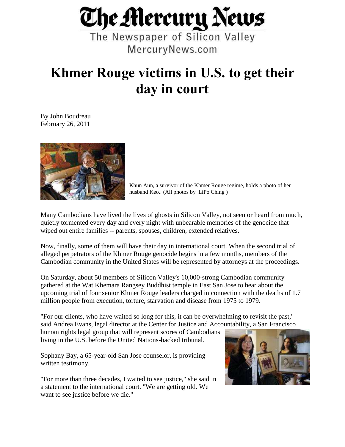

The Newspaper of Silicon Valley MercuryNews.com

## **Khmer Rouge victims in U.S. to get their day in court**

By John Boudreau February 26, 2011



Khun Aun, a survivor of the Khmer Rouge regime, holds a photo of her husband Keo.. (All photos by LiPo Ching )

Many Cambodians have lived the lives of ghosts in Silicon Valley, not seen or heard from much, quietly tormented every day and every night with unbearable memories of the genocide that wiped out entire families -- parents, spouses, children, extended relatives.

Now, finally, some of them will have their day in international court. When the second trial of alleged perpetrators of the Khmer Rouge genocide begins in a few months, members of the Cambodian community in the United States will be represented by attorneys at the proceedings.

On Saturday, about 50 members of Silicon Valley's 10,000-strong Cambodian community gathered at the Wat Khemara Rangsey Buddhist temple in East San Jose to hear about the upcoming trial of four senior Khmer Rouge leaders charged in connection with the deaths of 1.7 million people from execution, torture, starvation and disease from 1975 to 1979.

"For our clients, who have waited so long for this, it can be overwhelming to revisit the past," said Andrea Evans, legal director at the Center for Justice and Accountability, a San Francisco

human rights legal group that will represent scores of Cambodians living in the U.S. before the United Nations-backed tribunal.

Sophany Bay, a 65-year-old San Jose counselor, is providing written testimony.

"For more than three decades, I waited to see justice," she said in a statement to the international court. "We are getting old. We want to see justice before we die."

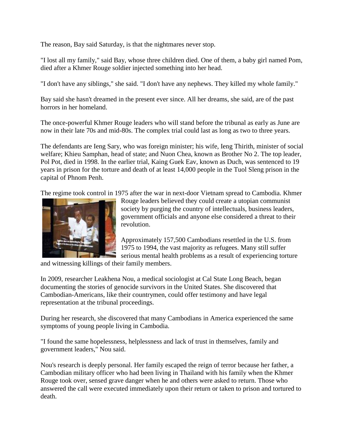The reason, Bay said Saturday, is that the nightmares never stop.

"I lost all my family," said Bay, whose three children died. One of them, a baby girl named Pom, died after a Khmer Rouge soldier injected something into her head.

"I don't have any siblings," she said. "I don't have any nephews. They killed my whole family."

Bay said she hasn't dreamed in the present ever since. All her dreams, she said, are of the past horrors in her homeland.

The once-powerful Khmer Rouge leaders who will stand before the tribunal as early as June are now in their late 70s and mid-80s. The complex trial could last as long as two to three years.

The defendants are Ieng Sary, who was foreign minister; his wife, Ieng Thirith, minister of social welfare; Khieu Samphan, head of state; and Nuon Chea, known as Brother No 2. The top leader, Pol Pot, died in 1998. In the earlier trial, Kaing Guek Eav, known as Duch, was sentenced to 19 years in prison for the torture and death of at least 14,000 people in the Tuol Sleng prison in the capital of Phnom Penh.

The regime took control in 1975 after the war in next-door Vietnam spread to Cambodia. Khmer



Rouge leaders believed they could create a utopian communist society by purging the country of intellectuals, business leaders, government officials and anyone else considered a threat to their revolution.

Approximately 157,500 Cambodians resettled in the U.S. from 1975 to 1994, the vast majority as refugees. Many still suffer serious mental health problems as a result of experiencing torture

and witnessing killings of their family members.

In 2009, researcher Leakhena Nou, a medical sociologist at Cal State Long Beach, began documenting the stories of genocide survivors in the United States. She discovered that Cambodian-Americans, like their countrymen, could offer testimony and have legal representation at the tribunal proceedings.

During her research, she discovered that many Cambodians in America experienced the same symptoms of young people living in Cambodia.

"I found the same hopelessness, helplessness and lack of trust in themselves, family and government leaders," Nou said.

Nou's research is deeply personal. Her family escaped the reign of terror because her father, a Cambodian military officer who had been living in Thailand with his family when the Khmer Rouge took over, sensed grave danger when he and others were asked to return. Those who answered the call were executed immediately upon their return or taken to prison and tortured to death.